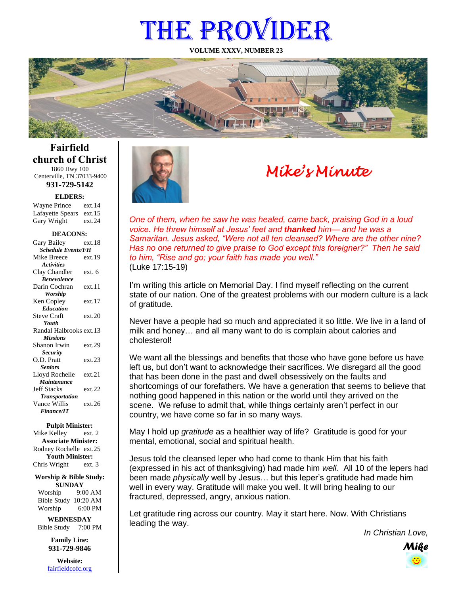# THE PROVIDER

**VOLUME XXXV, NUMBER 23**



### **Fairfield church of Christ** 1860 Hwy 100

Centerville, TN 37033-9400 **931-729-5142**

**ELDERS:**

| <b>Wayne Prince</b>     | ext.14 |
|-------------------------|--------|
| Lafayette Spears ext.15 |        |
| Gary Wright             | ext.24 |

#### **DEACONS:**

| -<br>v                    |        |  |
|---------------------------|--------|--|
| Gary Bailey               | ext.18 |  |
| <b>Schedule Events/FH</b> |        |  |
| Mike Breece               | ext.19 |  |
| <b>Activities</b>         |        |  |
| Clay Chandler             | ext. 6 |  |
| <b>Benevolence</b>        |        |  |
| Darin Cochran             | ext.11 |  |
| Worship                   |        |  |
| Ken Copley                | ext.17 |  |
| <b>Education</b>          |        |  |
| <b>Steve Craft</b>        | ext.20 |  |
| Youth                     |        |  |
| Randal Halbrooks ext.13   |        |  |
| <b>Missions</b>           |        |  |
| Shanon Irwin              | ext.29 |  |
| <b>Security</b>           |        |  |
| O.D. Pratt                | ext.23 |  |
| <b>Seniors</b>            |        |  |
| Lloyd Rochelle            | ext.21 |  |
| Maintenance               |        |  |
| <b>Jeff Stacks</b>        | ext.22 |  |
| <b>Transportation</b>     |        |  |
| Vance Willis              | ext.26 |  |
| <b>Finance/IT</b>         |        |  |
|                           |        |  |

#### **Pulpit Minister:**

Mike Kelley ext. 2 **Associate Minister:** Rodney Rochelle ext.25 **Youth Minister:** Chris Wright ext. 3

**Worship & Bible Study: SUNDAY**

Worship 9:00 AM Bible Study 10:20 AM Worship 6:00 PM

**WEDNESDAY** Bible Study 7:00 PM

> **Family Line: 931-729-9846**

**Website:** [fairfieldcofc.org](file:///C:/Users/RickJoyce/Documents/Fairfield%20Website%20Files/fairfieldchurchofchrist.org)



# *Mike's Minute*

*One of them, when he saw he was healed, came back, praising God in a loud voice. He threw himself at Jesus' feet and thanked him— and he was a Samaritan. Jesus asked, "Were not all ten cleansed? Where are the other nine? Has no one returned to give praise to God except this foreigner?" Then he said to him, "Rise and go; your faith has made you well."* (Luke 17:15-19)

I'm writing this article on Memorial Day. I find myself reflecting on the current state of our nation. One of the greatest problems with our modern culture is a lack of gratitude.

Never have a people had so much and appreciated it so little. We live in a land of milk and honey… and all many want to do is complain about calories and cholesterol!

We want all the blessings and benefits that those who have gone before us have left us, but don't want to acknowledge their sacrifices. We disregard all the good that has been done in the past and dwell obsessively on the faults and shortcomings of our forefathers. We have a generation that seems to believe that nothing good happened in this nation or the world until they arrived on the scene. We refuse to admit that, while things certainly aren't perfect in our country, we have come so far in so many ways.

May I hold up *gratitude* as a healthier way of life? Gratitude is good for your mental, emotional, social and spiritual health.

Jesus told the cleansed leper who had come to thank Him that his faith (expressed in his act of thanksgiving) had made him *well.* All 10 of the lepers had been made *physically* well by Jesus… but this leper's gratitude had made him well in every way. Gratitude will make you well. It will bring healing to our fractured, depressed, angry, anxious nation.

Let gratitude ring across our country. May it start here. Now. With Christians leading the way.

*In Christian Love,*

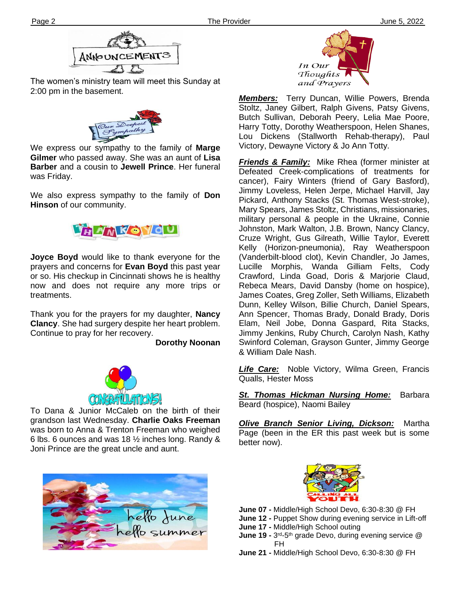

The women's ministry team will meet this Sunday at 2:00 pm in the basement.



**Ther Gilmer** who passed away. She was an aunt of **Lisa**  We express our sympathy to the family of **Marge Barber** and a cousin to **Jewell Prince**. Her funeral was Friday.

We also express sympathy to the family of **Don Hinson** of our community.



**Joyce Boyd** would like to thank everyone for the prayers and concerns for **Evan Boyd** this past year or so. His checkup in Cincinnati shows he is healthy now and does not require any more trips or treatments.

Thank you for the prayers for my daughter, **Nancy Clancy**. She had surgery despite her heart problem. Continue to pray for her recovery.

**Dorothy Noonan**



was born to Anna & Trenton Freeman who weighed To Dana & Junior McCaleb on the birth of their grandson last Wednesday. **Charlie Oaks Freeman** 6 lbs. 6 ounces and was 18 ½ inches long. Randy & Joni Prince are the great uncle and aunt.





*Members:* Terry Duncan, Willie Powers, Brenda Stoltz, Janey Gilbert, Ralph Givens, Patsy Givens, Butch Sullivan, Deborah Peery, Lelia Mae Poore, Harry Totty, Dorothy Weatherspoon, Helen Shanes, Lou Dickens (Stallworth Rehab-therapy), Paul Victory, Dewayne Victory & Jo Ann Totty.

*Friends & Family:* Mike Rhea (former minister at Defeated Creek-complications of treatments for cancer), Fairy Winters (friend of Gary Basford), Jimmy Loveless, Helen Jerpe, Michael Harvill, Jay Pickard, Anthony Stacks (St. Thomas West-stroke), Mary Spears, James Stoltz, Christians, missionaries, military personal & people in the Ukraine, Connie Johnston, Mark Walton, J.B. Brown, Nancy Clancy, Cruze Wright, Gus Gilreath, Willie Taylor, Everett Kelly (Horizon-pneumonia), Ray Weatherspoon (Vanderbilt-blood clot), Kevin Chandler, Jo James, Lucille Morphis, Wanda Gilliam Felts, Cody Crawford, Linda Goad, Doris & Marjorie Claud, Rebeca Mears, David Dansby (home on hospice), James Coates, Greg Zoller, Seth Williams, Elizabeth Dunn, Kelley Wilson, Billie Church, Daniel Spears, Ann Spencer, Thomas Brady, Donald Brady, Doris Elam, Neil Jobe, Donna Gaspard, Rita Stacks, Jimmy Jenkins, Ruby Church, Carolyn Nash, Kathy Swinford Coleman, Grayson Gunter, Jimmy George & William Dale Nash.

*Life Care:* Noble Victory, Wilma Green, Francis Qualls, Hester Moss

*St. Thomas Hickman Nursing Home:* Barbara Beard (hospice), Naomi Bailey

*Olive Branch Senior Living, Dickson:* Martha Page (been in the ER this past week but is some better now).



**June 07 -** Middle/High School Devo, 6:30-8:30 @ FH

- **June 12 -** Puppet Show during evening service in Lift-off
- **June 17 -** Middle/High School outing
- **June 19 -** 3<sup>rd</sup>-5<sup>th</sup> grade Devo, during evening service @ FH
- **June 21 -** Middle/High School Devo, 6:30-8:30 @ FH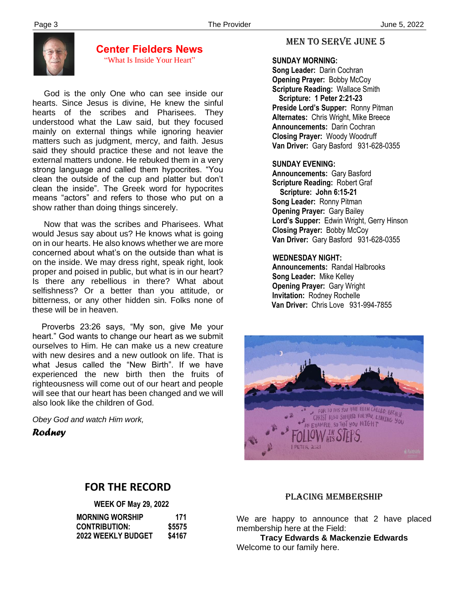

#### **Center Fielders News** "What Is Inside Your Heart"

 God is the only One who can see inside our hearts. Since Jesus is divine, He knew the sinful hearts of the scribes and Pharisees. They understood what the Law said, but they focused mainly on external things while ignoring heavier matters such as judgment, mercy, and faith. Jesus said they should practice these and not leave the external matters undone. He rebuked them in a very strong language and called them hypocrites. "You clean the outside of the cup and platter but don't clean the inside". The Greek word for hypocrites means "actors" and refers to those who put on a show rather than doing things sincerely.

 Now that was the scribes and Pharisees. What would Jesus say about us? He knows what is going on in our hearts. He also knows whether we are more concerned about what's on the outside than what is on the inside. We may dress right, speak right, look proper and poised in public, but what is in our heart? Is there any rebellious in there? What about selfishness? Or a better than you attitude, or bitterness, or any other hidden sin. Folks none of these will be in heaven.

 Proverbs 23:26 says, "My son, give Me your heart." God wants to change our heart as we submit ourselves to Him. He can make us a new creature with new desires and a new outlook on life. That is what Jesus called the "New Birth". If we have experienced the new birth then the fruits of righteousness will come out of our heart and people will see that our heart has been changed and we will also look like the children of God.

*Obey God and watch Him work,*

*Rodney*

#### MEN TO SERVE June 5

#### **SUNDAY MORNING:**

**Song Leader:** Darin Cochran  **Opening Prayer:** Bobby McCoy **Scripture Reading:** Wallace Smith  **Scripture: 1 Peter 2:21-23 Preside Lord's Supper:** Ronny Pitman  **Alternates:** Chris Wright, Mike Breece  **Announcements:** Darin Cochran  **Closing Prayer:** Woody Woodruff **Van Driver:** Gary Basford 931-628-0355

#### **SUNDAY EVENING:**

**Announcements:** Gary Basford **Scripture Reading:** Robert Graf  **Scripture: John 6:15-21 Song Leader:** Ronny Pitman **Opening Prayer:** Gary Bailey **Lord's Supper:** Edwin Wright, Gerry Hinson **Closing Prayer:** Bobby McCoy **Van Driver:** Gary Basford 931-628-0355

#### **WEDNESDAY NIGHT:**

**Announcements:** Randal Halbrooks **Song Leader:** Mike Kelley **Opening Prayer:** Gary Wright **Invitation:** Rodney Rochelle  **Van Driver:** Chris Love 931-994-7855



## **FOR THE RECORD**

|                           | <b>WEEK OF May 29, 2022</b> |  |
|---------------------------|-----------------------------|--|
| <b>MORNING WORSHIP</b>    | 171                         |  |
| <b>CONTRIBUTION:</b>      | \$5575                      |  |
| <b>2022 WEEKLY BUDGET</b> | \$4167                      |  |

#### PLACING MEMBERSHIP

We are happy to announce that 2 have placed membership here at the Field:

**Tracy Edwards & Mackenzie Edwards** Welcome to our family here.